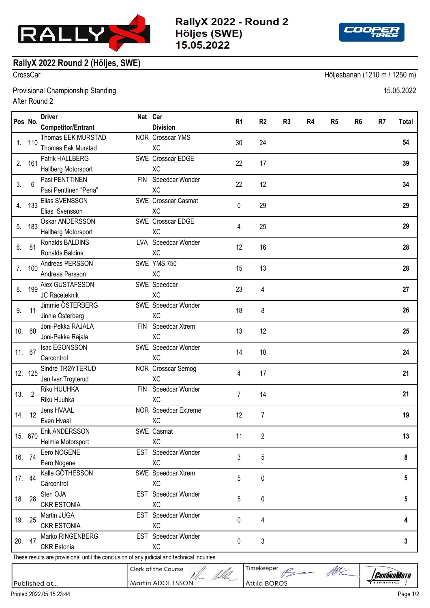

RallyX 2022 - Round 2 Höljes (SWE) 15.05.2022



## **RallyX 2022 Round 2 (Höljes, SWE)**

CrossCar Höljesbanan (1210 m / 1250 m)

Provisional Championship Standing 15.05.2022 After Round 2

| Pos No.                                                                                     |                   | <b>Driver</b>               |  | Nat Car                          |                |                     |                |                |                |                |              |       |
|---------------------------------------------------------------------------------------------|-------------------|-----------------------------|--|----------------------------------|----------------|---------------------|----------------|----------------|----------------|----------------|--------------|-------|
|                                                                                             |                   | <b>Competitor/Entrant</b>   |  | <b>Division</b>                  | R <sub>1</sub> | R <sub>2</sub>      | R <sub>3</sub> | R <sub>4</sub> | R <sub>5</sub> | R <sub>6</sub> | R7           | Total |
| 1.                                                                                          | 110               | Thomas EEK MURSTAD          |  | NOR Crosscar YMS                 | 30             | 24                  |                |                |                |                |              | 54    |
|                                                                                             |                   | Thomas Eek Murstad          |  | <b>XC</b>                        |                |                     |                |                |                |                |              |       |
| 2.                                                                                          | 161               | Patrik HALLBERG             |  | SWE Crosscar EDGE                | 22             | 17                  |                |                |                |                |              | 39    |
|                                                                                             |                   | Hallberg Motorsport         |  | XC                               |                |                     |                |                |                |                |              |       |
| 3.                                                                                          | 6                 | Pasi PENTTINEN              |  | FIN Speedcar Wonder              | 22             | 12                  |                |                |                |                |              | 34    |
|                                                                                             |                   | Pasi Penttinen "Pena"       |  | XC                               |                |                     |                |                |                |                |              |       |
| 4.                                                                                          | 133               | Elias SVENSSON              |  | <b>SWE</b> Crosscar Casmat       | 0              | 29                  |                |                |                |                |              | 29    |
|                                                                                             |                   | Elias Svensson              |  | <b>XC</b>                        |                |                     |                |                |                |                |              |       |
| 5.                                                                                          | 183               | Oskar ANDERSSON             |  | SWE Crosscar EDGE                | 4              | 25                  |                |                |                |                |              | 29    |
|                                                                                             |                   | Hallberg Motorsport         |  | XC                               |                |                     |                |                |                |                |              |       |
| 6.                                                                                          | 81                | Ronalds BALDINS             |  | LVA Speedcar Wonder              | 12             | 16                  |                |                |                |                |              | 28    |
|                                                                                             |                   | Ronalds Baldins             |  | <b>XC</b>                        |                |                     |                |                |                |                |              |       |
| 7.                                                                                          | 100               | Andreas PERSSON             |  | SWE YMS 750                      | 15             | 13                  |                |                |                |                |              | 28    |
|                                                                                             |                   | Andreas Persson             |  | XC                               |                |                     |                |                |                |                |              |       |
| 8.                                                                                          | 199               | Alex GUSTAFSSON             |  | SWE Speedcar                     | 23             | 4                   |                |                |                |                |              | 27    |
|                                                                                             |                   | JC Raceteknik               |  | <b>XC</b>                        |                |                     |                |                |                |                |              |       |
| 9.                                                                                          | 11<br>10. 60      | Jimmie ÖSTERBERG            |  | SWE Speedcar Wonder              | 18             | 8                   |                |                |                |                |              | 26    |
|                                                                                             |                   | Jinnie Österberg            |  | <b>XC</b>                        |                |                     |                |                |                |                |              |       |
|                                                                                             |                   | Joni-Pekka RAJALA           |  | FIN Speedcar Xtrem               | 13             | 12                  |                |                |                |                |              | 25    |
|                                                                                             | 11. 67<br>12. 125 | Joni-Pekka Rajala           |  | <b>XC</b>                        |                |                     |                |                |                |                |              |       |
|                                                                                             |                   | Isac EGONSSON<br>Carcontrol |  | SWE Speedcar Wonder<br><b>XC</b> | 14             | 10                  |                |                |                |                |              | 24    |
|                                                                                             |                   | Sindre TRØYTERUD            |  | NOR Crosscar Semog               |                |                     |                |                |                |                |              |       |
|                                                                                             |                   | Jan Ivar Troyterud          |  | XC                               | 4              | 17                  |                |                |                |                |              | 21    |
| 13.                                                                                         | $\overline{2}$    | Riku HUUHKA                 |  | FIN Speedcar Wonder              |                |                     |                |                |                |                |              |       |
|                                                                                             |                   | Riku Huuhka                 |  | <b>XC</b>                        | $\overline{7}$ | 14                  |                |                |                |                |              | 21    |
|                                                                                             | 14. 12            | Jens HVAAL                  |  | NOR Speedcar Extreme             |                |                     |                |                |                |                |              |       |
|                                                                                             |                   | Even Hvaal                  |  | XC                               | 12             | $\overline{7}$      |                |                |                |                |              | 19    |
|                                                                                             | 15. 670           | Erik ANDERSSON              |  | SWE Casmat                       |                |                     |                |                |                |                |              |       |
|                                                                                             |                   | Helmia Motorsport           |  | <b>XC</b>                        | 11             | 2                   |                |                |                |                |              | 13    |
|                                                                                             | 16. 74            | Eero NOGENE                 |  | EST Speedcar Wonder              |                |                     |                |                |                |                |              |       |
|                                                                                             |                   | Eero Nogene                 |  | XC                               | 3              | 5                   |                |                |                |                |              | 8     |
| 17. 44                                                                                      |                   | Kalle GÖTHESSON             |  | SWE Speedcar Xtrem               |                | 0                   |                |                |                |                |              |       |
|                                                                                             |                   | Carcontrol                  |  | <b>XC</b>                        | 5              |                     |                |                |                |                |              | 5     |
|                                                                                             | 18. 28            | Sten OJA                    |  | EST Speedcar Wonder              | 5              | $\pmb{0}$           |                |                |                |                |              | 5     |
|                                                                                             |                   | <b>CKR ESTONIA</b>          |  | XC                               |                |                     |                |                |                |                |              |       |
| 19. 25                                                                                      |                   | Martin JUGA                 |  | EST Speedcar Wonder              | 0              | 4                   |                |                |                |                |              | 4     |
|                                                                                             |                   | <b>CKR ESTONIA</b>          |  | <b>XC</b>                        |                |                     |                |                |                |                |              |       |
| 20. 47                                                                                      |                   | Marko RINGENBERG            |  | EST Speedcar Wonder              | $\mathbf{0}$   | 3                   |                |                |                |                |              | 3     |
|                                                                                             |                   | <b>CKR</b> Estonia          |  | XC                               |                |                     |                |                |                |                |              |       |
| These results are provisional until the conclusion of any judicial and technical inquiries. |                   |                             |  |                                  |                |                     |                |                |                |                |              |       |
|                                                                                             |                   |                             |  | Clerk of the Course              |                | Timekeeper          |                |                | Be the         |                | Chrónomototo |       |
|                                                                                             |                   | Published at                |  | <b>Martin ADOLTSSON</b>          |                | <b>Attila BOROS</b> |                |                |                |                | $7$ TIMING   |       |

Attila BOROS

Published at...